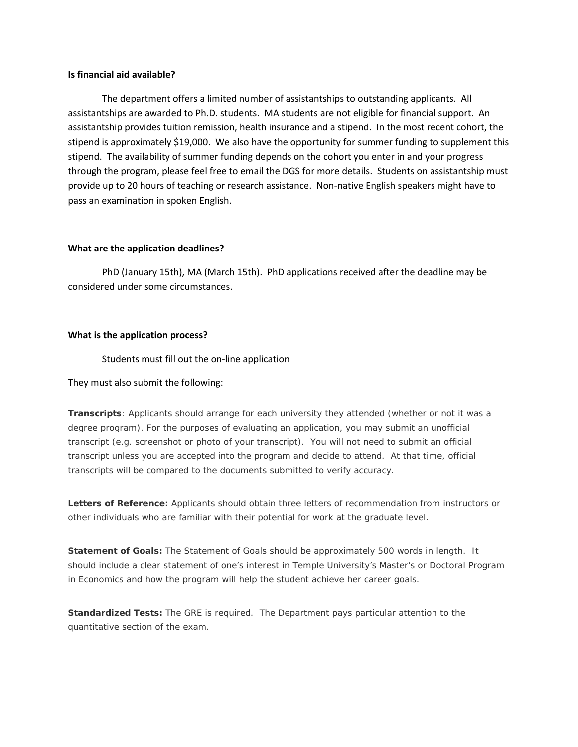### **Is financial aid available?**

The department offers a limited number of assistantships to outstanding applicants. All assistantships are awarded to Ph.D. students. MA students are not eligible for financial support. An assistantship provides tuition remission, health insurance and a stipend. In the most recent cohort, the stipend is approximately \$19,000. We also have the opportunity for summer funding to supplement this stipend. The availability of summer funding depends on the cohort you enter in and your progress through the program, please feel free to email the DGS for more details. Students on assistantship must provide up to 20 hours of teaching or research assistance. Non-native English speakers might have to pass an examination in spoken English.

# **What are the application deadlines?**

PhD (January 15th), MA (March 15th). PhD applications received after the deadline may be considered under some circumstances.

### **What is the application process?**

Students must fill out the on-line application

# They must also submit the following:

**Transcripts**: Applicants should arrange for each university they attended (whether or not it was a degree program). For the purposes of evaluating an application, you may submit an unofficial transcript (e.g. screenshot or photo of your transcript). You will not need to submit an official transcript unless you are accepted into the program and decide to attend. At that time, official transcripts will be compared to the documents submitted to verify accuracy.

**Letters of Reference:** Applicants should obtain three letters of recommendation from instructors or other individuals who are familiar with their potential for work at the graduate level.

**Statement of Goals:** The Statement of Goals should be approximately 500 words in length. It should include a clear statement of one's interest in Temple University's Master's or Doctoral Program in Economics and how the program will help the student achieve her career goals.

**Standardized Tests:** The GRE is required. The Department pays particular attention to the quantitative section of the exam.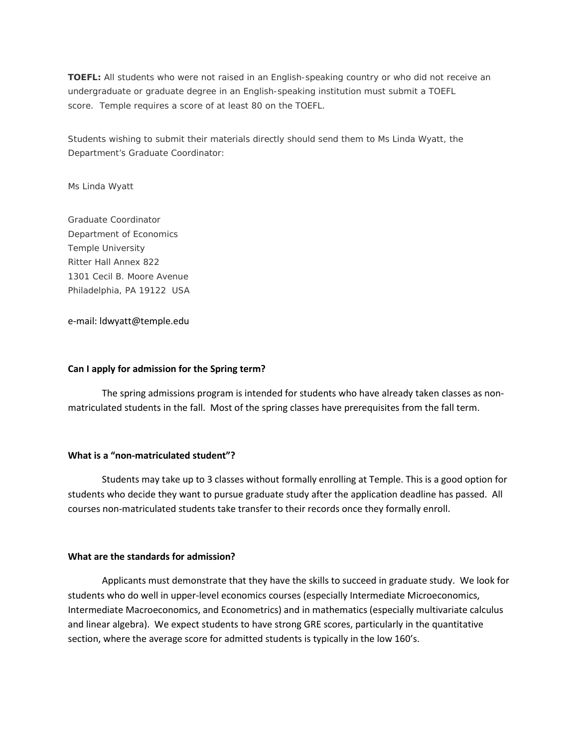**TOEFL:** All students who were not raised in an English-speaking country or who did not receive an undergraduate or graduate degree in an English-speaking institution must submit a TOEFL score. Temple requires a score of at least 80 on the TOEFL.

Students wishing to submit their materials directly should send them to Ms Linda Wyatt, the Department's Graduate Coordinator:

Ms Linda Wyatt

Graduate Coordinator Department of Economics Temple University Ritter Hall Annex 822 1301 Cecil B. Moore Avenue Philadelphia, PA 19122 USA

e-mail: ldwyatt@temple.edu

## **Can I apply for admission for the Spring term?**

The spring admissions program is intended for students who have already taken classes as nonmatriculated students in the fall. Most of the spring classes have prerequisites from the fall term.

# **What is a "non-matriculated student"?**

Students may take up to 3 classes without formally enrolling at Temple. This is a good option for students who decide they want to pursue graduate study after the application deadline has passed. All courses non-matriculated students take transfer to their records once they formally enroll.

# **What are the standards for admission?**

Applicants must demonstrate that they have the skills to succeed in graduate study. We look for students who do well in upper-level economics courses (especially Intermediate Microeconomics, Intermediate Macroeconomics, and Econometrics) and in mathematics (especially multivariate calculus and linear algebra). We expect students to have strong GRE scores, particularly in the quantitative section, where the average score for admitted students is typically in the low 160's.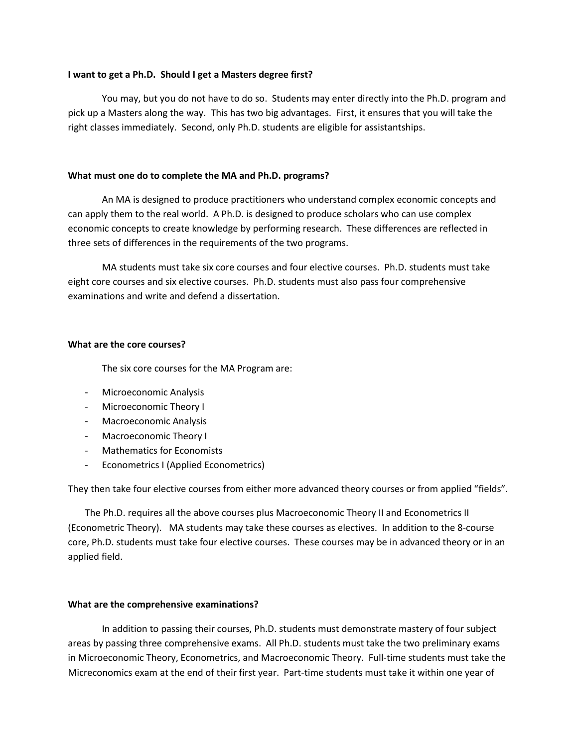# **I want to get a Ph.D. Should I get a Masters degree first?**

You may, but you do not have to do so. Students may enter directly into the Ph.D. program and pick up a Masters along the way. This has two big advantages. First, it ensures that you will take the right classes immediately. Second, only Ph.D. students are eligible for assistantships.

# **What must one do to complete the MA and Ph.D. programs?**

An MA is designed to produce practitioners who understand complex economic concepts and can apply them to the real world. A Ph.D. is designed to produce scholars who can use complex economic concepts to create knowledge by performing research. These differences are reflected in three sets of differences in the requirements of the two programs.

MA students must take six core courses and four elective courses. Ph.D. students must take eight core courses and six elective courses. Ph.D. students must also pass four comprehensive examinations and write and defend a dissertation.

### **What are the core courses?**

The six core courses for the MA Program are:

- Microeconomic Analysis
- Microeconomic Theory I
- Macroeconomic Analysis
- Macroeconomic Theory I
- Mathematics for Economists
- Econometrics I (Applied Econometrics)

They then take four elective courses from either more advanced theory courses or from applied "fields".

The Ph.D. requires all the above courses plus Macroeconomic Theory II and Econometrics II (Econometric Theory). MA students may take these courses as electives. In addition to the 8-course core, Ph.D. students must take four elective courses. These courses may be in advanced theory or in an applied field.

# **What are the comprehensive examinations?**

 In addition to passing their courses, Ph.D. students must demonstrate mastery of four subject areas by passing three comprehensive exams. All Ph.D. students must take the two preliminary exams in Microeconomic Theory, Econometrics, and Macroeconomic Theory. Full-time students must take the Micreconomics exam at the end of their first year. Part-time students must take it within one year of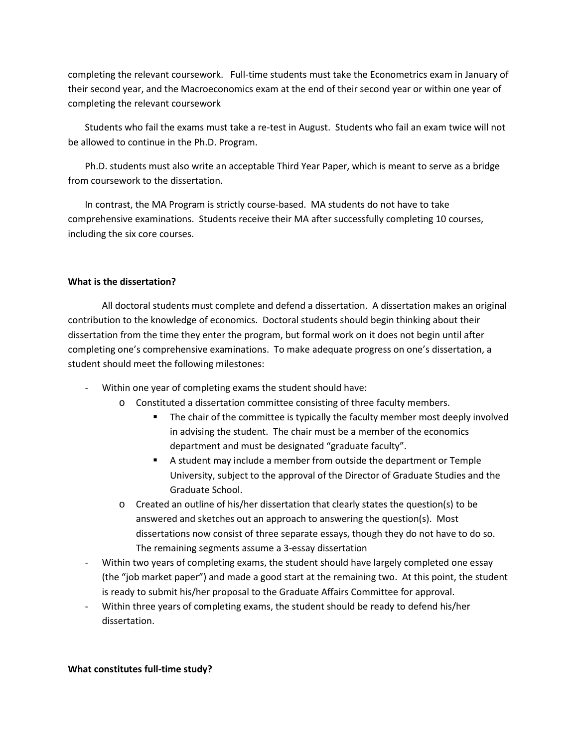completing the relevant coursework. Full-time students must take the Econometrics exam in January of their second year, and the Macroeconomics exam at the end of their second year or within one year of completing the relevant coursework

Students who fail the exams must take a re-test in August. Students who fail an exam twice will not be allowed to continue in the Ph.D. Program.

Ph.D. students must also write an acceptable Third Year Paper, which is meant to serve as a bridge from coursework to the dissertation.

In contrast, the MA Program is strictly course-based. MA students do not have to take comprehensive examinations. Students receive their MA after successfully completing 10 courses, including the six core courses.

# **What is the dissertation?**

All doctoral students must complete and defend a dissertation. A dissertation makes an original contribution to the knowledge of economics. Doctoral students should begin thinking about their dissertation from the time they enter the program, but formal work on it does not begin until after completing one's comprehensive examinations. To make adequate progress on one's dissertation, a student should meet the following milestones:

- Within one year of completing exams the student should have:
	- o Constituted a dissertation committee consisting of three faculty members.
		- The chair of the committee is typically the faculty member most deeply involved in advising the student. The chair must be a member of the economics department and must be designated "graduate faculty".
		- A student may include a member from outside the department or Temple University, subject to the approval of the Director of Graduate Studies and the Graduate School.
	- $\circ$  Created an outline of his/her dissertation that clearly states the question(s) to be answered and sketches out an approach to answering the question(s). Most dissertations now consist of three separate essays, though they do not have to do so. The remaining segments assume a 3-essay dissertation
- Within two years of completing exams, the student should have largely completed one essay (the "job market paper") and made a good start at the remaining two. At this point, the student is ready to submit his/her proposal to the Graduate Affairs Committee for approval.
- Within three years of completing exams, the student should be ready to defend his/her dissertation.

# **What constitutes full-time study?**